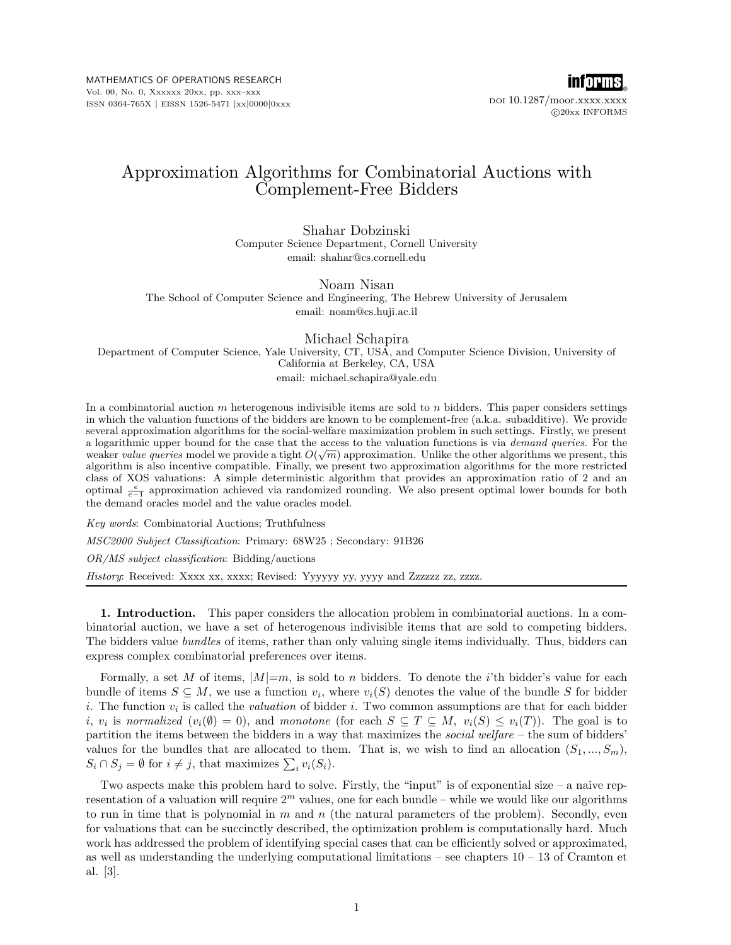MATHEMATICS OF OPERATIONS RESEARCH Vol. 00, No. 0, Xxxxxx 20xx, pp. xxx–xxx ISSN 0364-765X | EISSN 1526-5471 |xx|0000|0xxx



DOI 10.1287/moor.xxxx.xxxx  $@20xx$  INFORMS

# Approximation Algorithms for Combinatorial Auctions with Complement-Free Bidders

Shahar Dobzinski Computer Science Department, Cornell University email: shahar@cs.cornell.edu

Noam Nisan The School of Computer Science and Engineering, The Hebrew University of Jerusalem email: noam@cs.huji.ac.il

Michael Schapira Department of Computer Science, Yale University, CT, USA, and Computer Science Division, University of California at Berkeley, CA, USA email: michael.schapira@yale.edu

In a combinatorial auction  $m$  heterogenous indivisible items are sold to  $n$  bidders. This paper considers settings in which the valuation functions of the bidders are known to be complement-free (a.k.a. subadditive). We provide several approximation algorithms for the social-welfare maximization problem in such settings. Firstly, we present a logarithmic upper bound for the case that the access to the valuation functions is via *demand queries*. For the weaker value queries model we provide a tight  $O(\sqrt{m})$  approximation. Unlike the other algorithms we present, this algorithm is also incentive compatible. Finally, we present two approximation algorithms for the more restricted class of XOS valuations: A simple deterministic algorithm that provides an approximation ratio of 2 and an optimal  $\frac{e}{e-1}$  approximation achieved via randomized rounding. We also present optimal lower bounds for both the demand oracles model and the value oracles model.

Key words: Combinatorial Auctions; Truthfulness MSC2000 Subject Classification: Primary: 68W25 ; Secondary: 91B26 OR/MS subject classification: Bidding/auctions History: Received: Xxxx xx, xxxx; Revised: Yyyyyy yy, yyyy and Zzzzzz zz, zzzz.

1. Introduction. This paper considers the allocation problem in combinatorial auctions. In a combinatorial auction, we have a set of heterogenous indivisible items that are sold to competing bidders. The bidders value *bundles* of items, rather than only valuing single items individually. Thus, bidders can express complex combinatorial preferences over items.

Formally, a set M of items,  $|M|=m$ , is sold to n bidders. To denote the *i*'th bidder's value for each bundle of items  $S \subseteq M$ , we use a function  $v_i$ , where  $v_i(S)$  denotes the value of the bundle S for bidder i. The function  $v_i$  is called the *valuation* of bidder i. Two common assumptions are that for each bidder *i*,  $v_i$  is normalized  $(v_i(\emptyset) = 0)$ , and monotone (for each  $S \subseteq T \subseteq M$ ,  $v_i(S) \le v_i(T)$ ). The goal is to partition the items between the bidders in a way that maximizes the *social welfare* – the sum of bidders' values for the bundles that are allocated to them. That is, we wish to find an allocation  $(S_1, ..., S_m)$ , values for the bundles that are allocated to the  $S_i \cap S_j = \emptyset$  for  $i \neq j$ , that maximizes  $\sum_i v_i(S_i)$ .

Two aspects make this problem hard to solve. Firstly, the "input" is of exponential size – a naive representation of a valuation will require  $2<sup>m</sup>$  values, one for each bundle – while we would like our algorithms to run in time that is polynomial in  $m$  and  $n$  (the natural parameters of the problem). Secondly, even for valuations that can be succinctly described, the optimization problem is computationally hard. Much work has addressed the problem of identifying special cases that can be efficiently solved or approximated, as well as understanding the underlying computational limitations – see chapters  $10 - 13$  of Cramton et al. [3].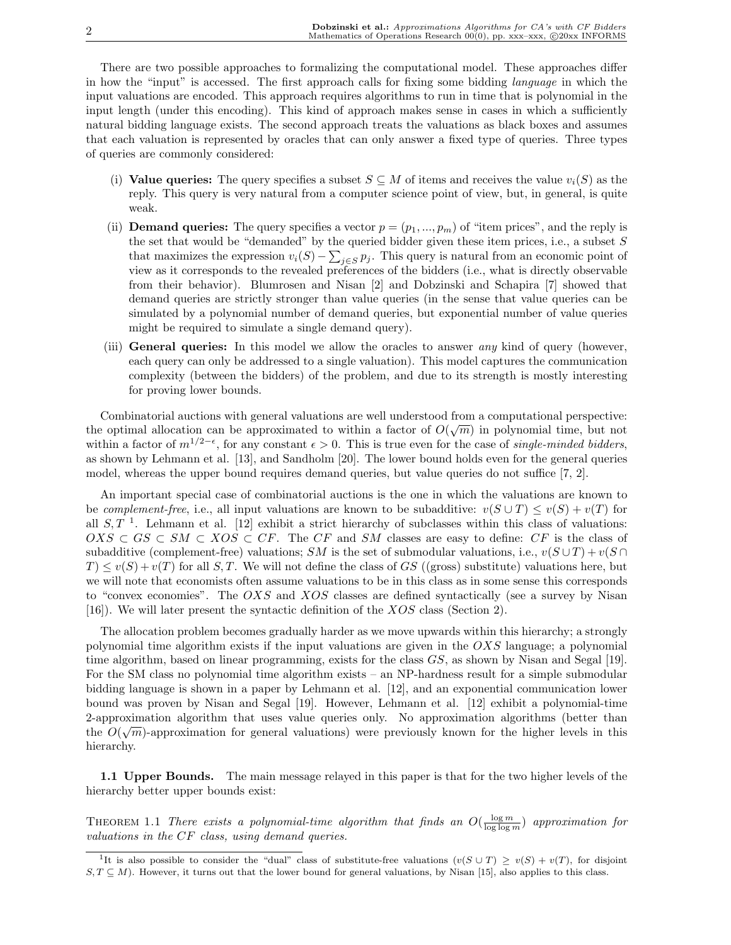There are two possible approaches to formalizing the computational model. These approaches differ in how the "input" is accessed. The first approach calls for fixing some bidding language in which the input valuations are encoded. This approach requires algorithms to run in time that is polynomial in the input length (under this encoding). This kind of approach makes sense in cases in which a sufficiently natural bidding language exists. The second approach treats the valuations as black boxes and assumes that each valuation is represented by oracles that can only answer a fixed type of queries. Three types of queries are commonly considered:

- (i) Value queries: The query specifies a subset  $S \subseteq M$  of items and receives the value  $v_i(S)$  as the reply. This query is very natural from a computer science point of view, but, in general, is quite weak.
- (ii) **Demand queries:** The query specifies a vector  $p = (p_1, ..., p_m)$  of "item prices", and the reply is the set that would be "demanded" by the queried bidder given these item prices, i.e., a subset  $S$ that maximizes the expression  $v_i(S) - \sum_{j \in S} p_j$ . This query is natural from an economic point of view as it corresponds to the revealed preferences of the bidders (i.e., what is directly observable from their behavior). Blumrosen and Nisan [2] and Dobzinski and Schapira [7] showed that demand queries are strictly stronger than value queries (in the sense that value queries can be simulated by a polynomial number of demand queries, but exponential number of value queries might be required to simulate a single demand query).
- (iii) General queries: In this model we allow the oracles to answer *any* kind of query (however, each query can only be addressed to a single valuation). This model captures the communication complexity (between the bidders) of the problem, and due to its strength is mostly interesting for proving lower bounds.

Combinatorial auctions with general valuations are well understood from a computational perspective: √ the optimal allocation can be approximated to within a factor of  $O(\sqrt{m})$  in polynomial time, but not within a factor of  $m^{1/2-\epsilon}$ , for any constant  $\epsilon > 0$ . This is true even for the case of *single-minded bidders*, as shown by Lehmann et al. [13], and Sandholm [20]. The lower bound holds even for the general queries model, whereas the upper bound requires demand queries, but value queries do not suffice [7, 2].

An important special case of combinatorial auctions is the one in which the valuations are known to be complement-free, i.e., all input valuations are known to be subadditive:  $v(S \cup T) \le v(S) + v(T)$  for all  $S, T<sup>-1</sup>$ . Lehmann et al. [12] exhibit a strict hierarchy of subclasses within this class of valuations:  $OXS \subset GS \subset SM \subset XOS \subset CF$ . The CF and SM classes are easy to define: CF is the class of subadditive (complement-free) valuations; SM is the set of submodular valuations, i.e.,  $v(S \cup T) + v(S \cap T)$  $T \leq v(S) + v(T)$  for all S, T. We will not define the class of GS ((gross) substitute) valuations here, but we will note that economists often assume valuations to be in this class as in some sense this corresponds to "convex economies". The OXS and XOS classes are defined syntactically (see a survey by Nisan [16]). We will later present the syntactic definition of the XOS class (Section 2).

The allocation problem becomes gradually harder as we move upwards within this hierarchy; a strongly polynomial time algorithm exists if the input valuations are given in the OXS language; a polynomial time algorithm, based on linear programming, exists for the class GS, as shown by Nisan and Segal [19]. For the SM class no polynomial time algorithm exists – an NP-hardness result for a simple submodular bidding language is shown in a paper by Lehmann et al. [12], and an exponential communication lower bound was proven by Nisan and Segal [19]. However, Lehmann et al. [12] exhibit a polynomial-time 2-approximation algorithm that uses value queries only. No approximation algorithms (better than the  $O(\sqrt{m})$ -approximation for general valuations) were previously known for the higher levels in this hierarchy.

1.1 Upper Bounds. The main message relayed in this paper is that for the two higher levels of the hierarchy better upper bounds exist:

THEOREM 1.1 There exists a polynomial-time algorithm that finds an  $O(\frac{\log m}{\log \log m})$  approximation for valuations in the CF class, using demand queries.

<sup>&</sup>lt;sup>1</sup>It is also possible to consider the "dual" class of substitute-free valuations  $(v(S \cup T) \ge v(S) + v(T)$ , for disjoint  $S, T \subseteq M$ ). However, it turns out that the lower bound for general valuations, by Nisan [15], also applies to this class.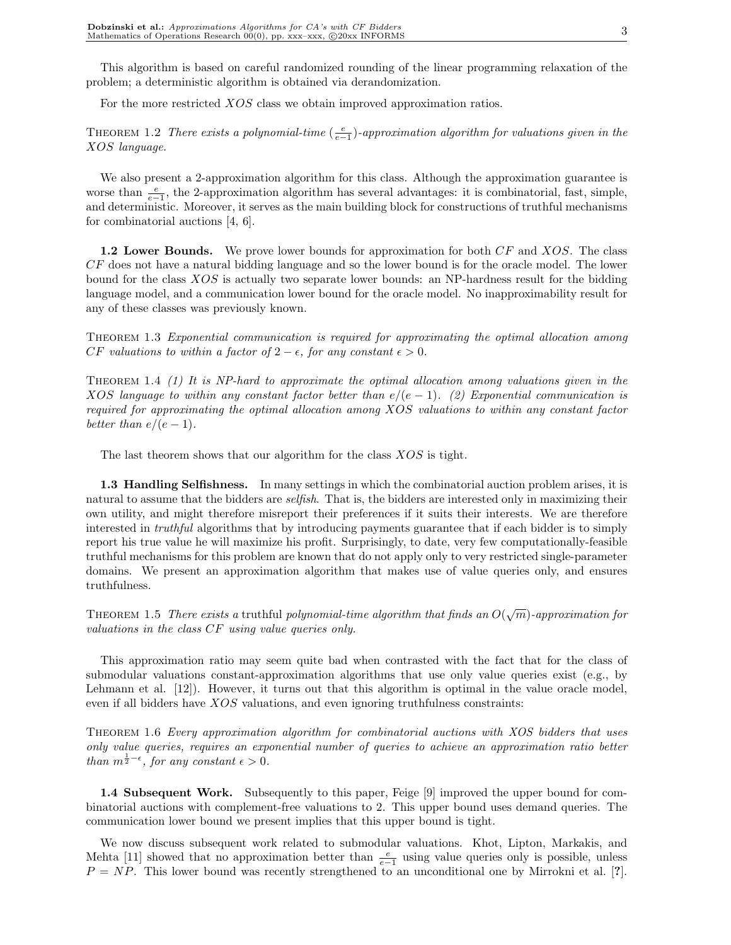This algorithm is based on careful randomized rounding of the linear programming relaxation of the problem; a deterministic algorithm is obtained via derandomization.

For the more restricted XOS class we obtain improved approximation ratios.

THEOREM 1.2 There exists a polynomial-time  $(\frac{e}{e-1})$ -approximation algorithm for valuations given in the XOS language.

We also present a 2-approximation algorithm for this class. Although the approximation guarantee is worse than  $\frac{e}{e-1}$ , the 2-approximation algorithm has several advantages: it is combinatorial, fast, simple, and deterministic. Moreover, it serves as the main building block for constructions of truthful mechanisms for combinatorial auctions [4, 6].

**1.2 Lower Bounds.** We prove lower bounds for approximation for both CF and XOS. The class CF does not have a natural bidding language and so the lower bound is for the oracle model. The lower bound for the class XOS is actually two separate lower bounds: an NP-hardness result for the bidding language model, and a communication lower bound for the oracle model. No inapproximability result for any of these classes was previously known.

Theorem 1.3 Exponential communication is required for approximating the optimal allocation among CF valuations to within a factor of  $2 - \epsilon$ , for any constant  $\epsilon > 0$ .

THEOREM 1.4 (1) It is NP-hard to approximate the optimal allocation among valuations given in the XOS language to within any constant factor better than  $e/(e-1)$ . (2) Exponential communication is required for approximating the optimal allocation among XOS valuations to within any constant factor better than  $e/(e-1)$ .

The last theorem shows that our algorithm for the class  $XOS$  is tight.

1.3 Handling Selfishness. In many settings in which the combinatorial auction problem arises, it is natural to assume that the bidders are *selfish*. That is, the bidders are interested only in maximizing their own utility, and might therefore misreport their preferences if it suits their interests. We are therefore interested in *truthful* algorithms that by introducing payments guarantee that if each bidder is to simply report his true value he will maximize his profit. Surprisingly, to date, very few computationally-feasible truthful mechanisms for this problem are known that do not apply only to very restricted single-parameter domains. We present an approximation algorithm that makes use of value queries only, and ensures truthfulness.

THEOREM 1.5 There exists a truthful polynomial-time algorithm that finds an  $O(\sqrt{m})$ -approximation for valuations in the class CF using value queries only.

This approximation ratio may seem quite bad when contrasted with the fact that for the class of submodular valuations constant-approximation algorithms that use only value queries exist (e.g., by Lehmann et al. [12]). However, it turns out that this algorithm is optimal in the value oracle model, even if all bidders have XOS valuations, and even ignoring truthfulness constraints:

Theorem 1.6 Every approximation algorithm for combinatorial auctions with XOS bidders that uses only value queries, requires an exponential number of queries to achieve an approximation ratio better than  $m^{\frac{1}{2}-\epsilon}$ , for any constant  $\epsilon > 0$ .

1.4 Subsequent Work. Subsequently to this paper, Feige [9] improved the upper bound for combinatorial auctions with complement-free valuations to 2. This upper bound uses demand queries. The communication lower bound we present implies that this upper bound is tight.

We now discuss subsequent work related to submodular valuations. Khot, Lipton, Markakis, and Mehta [11] showed that no approximation better than  $\frac{e}{e-1}$  using value queries only is possible, unless  $P = NP$ . This lower bound was recently strengthened to an unconditional one by Mirrokni et al. [?].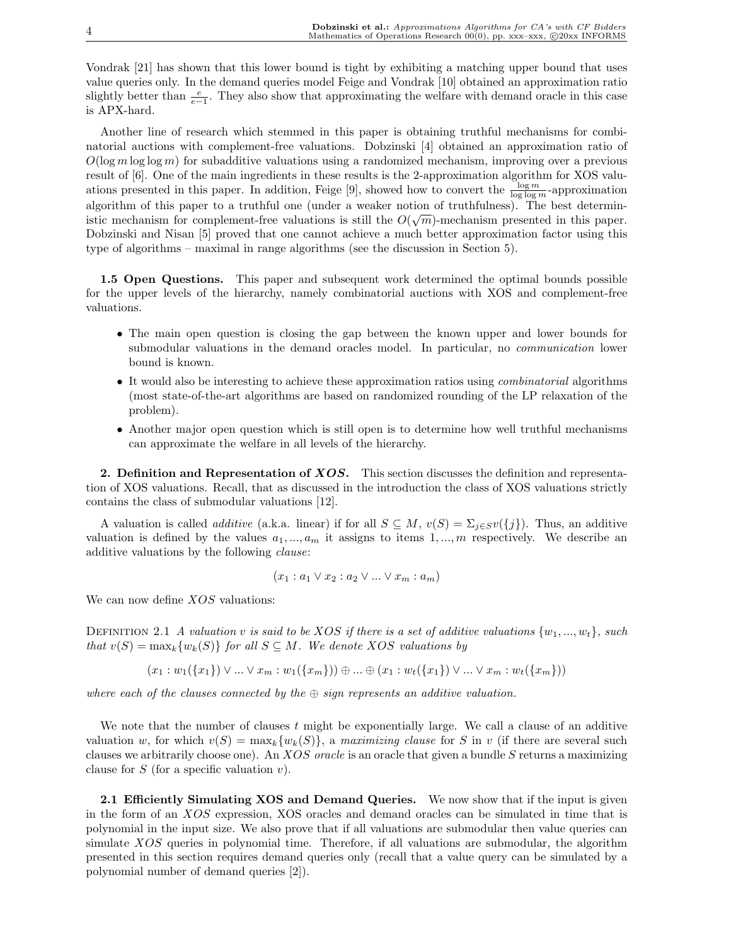Vondrak [21] has shown that this lower bound is tight by exhibiting a matching upper bound that uses value queries only. In the demand queries model Feige and Vondrak [10] obtained an approximation ratio slightly better than  $\frac{e}{e-1}$ . They also show that approximating the welfare with demand oracle in this case is APX-hard.

Another line of research which stemmed in this paper is obtaining truthful mechanisms for combinatorial auctions with complement-free valuations. Dobzinski [4] obtained an approximation ratio of  $O(\log m \log \log m)$  for subadditive valuations using a randomized mechanism, improving over a previous result of [6]. One of the main ingredients in these results is the 2-approximation algorithm for XOS valuations presented in this paper. In addition, Feige [9], showed how to convert the  $\frac{\log m}{\log \log m}$ -approximation algorithm of this paper to a truthful one (under a weaker notion of truthfulness). The best deterministic mechanism for complement-free valuations is still the  $O(\sqrt{m})$ -mechanism presented in this paper. Dobzinski and Nisan [5] proved that one cannot achieve a much better approximation factor using this type of algorithms – maximal in range algorithms (see the discussion in Section 5).

1.5 Open Questions. This paper and subsequent work determined the optimal bounds possible for the upper levels of the hierarchy, namely combinatorial auctions with XOS and complement-free valuations.

- The main open question is closing the gap between the known upper and lower bounds for submodular valuations in the demand oracles model. In particular, no *communication* lower bound is known.
- It would also be interesting to achieve these approximation ratios using *combinatorial* algorithms (most state-of-the-art algorithms are based on randomized rounding of the LP relaxation of the problem).
- Another major open question which is still open is to determine how well truthful mechanisms can approximate the welfare in all levels of the hierarchy.

2. Definition and Representation of XOS. This section discusses the definition and representation of XOS valuations. Recall, that as discussed in the introduction the class of XOS valuations strictly contains the class of submodular valuations [12].

A valuation is called *additive* (a.k.a. linear) if for all  $S \subseteq M$ ,  $v(S) = \sum_{j \in S} v({j})$ . Thus, an additive valuation is defined by the values  $a_1, ..., a_m$  it assigns to items 1, ..., m respectively. We describe an additive valuations by the following clause:

$$
(x_1 : a_1 \vee x_2 : a_2 \vee \dots \vee x_m : a_m)
$$

We can now define *XOS* valuations:

DEFINITION 2.1 A valuation v is said to be XOS if there is a set of additive valuations  $\{w_1, ..., w_t\}$ , such that  $v(S) = \max_k \{w_k(S)\}\$  for all  $S \subseteq M$ . We denote XOS valuations by

$$
(x_1:w_1(\{x_1\})\vee\ldots\vee x_m:w_1(\{x_m\}))\oplus\ldots\oplus(x_1:w_t(\{x_1\})\vee\ldots\vee x_m:w_t(\{x_m\}))
$$

where each of the clauses connected by the  $\oplus$  sign represents an additive valuation.

We note that the number of clauses  $t$  might be exponentially large. We call a clause of an additive valuation w, for which  $v(S) = \max_k \{w_k(S)\}\$ , a maximizing clause for S in v (if there are several such clauses we arbitrarily choose one). An XOS oracle is an oracle that given a bundle S returns a maximizing clause for  $S$  (for a specific valuation  $v$ ).

2.1 Efficiently Simulating XOS and Demand Queries. We now show that if the input is given in the form of an XOS expression, XOS oracles and demand oracles can be simulated in time that is polynomial in the input size. We also prove that if all valuations are submodular then value queries can simulate XOS queries in polynomial time. Therefore, if all valuations are submodular, the algorithm presented in this section requires demand queries only (recall that a value query can be simulated by a polynomial number of demand queries [2]).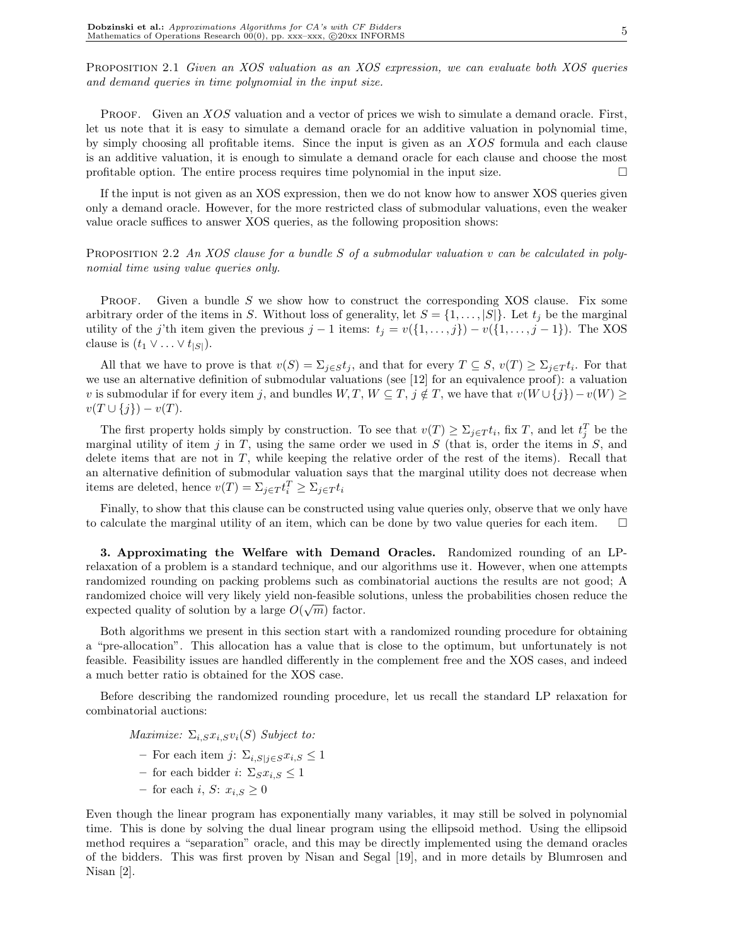PROPOSITION 2.1 Given an XOS valuation as an XOS expression, we can evaluate both XOS queries and demand queries in time polynomial in the input size.

PROOF. Given an XOS valuation and a vector of prices we wish to simulate a demand oracle. First, let us note that it is easy to simulate a demand oracle for an additive valuation in polynomial time, by simply choosing all profitable items. Since the input is given as an XOS formula and each clause is an additive valuation, it is enough to simulate a demand oracle for each clause and choose the most profitable option. The entire process requires time polynomial in the input size.  $\Box$ 

If the input is not given as an XOS expression, then we do not know how to answer XOS queries given only a demand oracle. However, for the more restricted class of submodular valuations, even the weaker value oracle suffices to answer XOS queries, as the following proposition shows:

PROPOSITION 2.2 An XOS clause for a bundle S of a submodular valuation v can be calculated in polynomial time using value queries only.

**PROOF.** Given a bundle  $S$  we show how to construct the corresponding XOS clause. Fix some arbitrary order of the items in S. Without loss of generality, let  $S = \{1, \ldots, |S|\}$ . Let  $t_j$  be the marginal utility of the j'th item given the previous  $j - 1$  items:  $t_j = v({1, \ldots, j}) - v({1, \ldots, j - 1})$ . The XOS clause is  $(t_1 \vee \ldots \vee t_{|S|})$ .

All that we have to prove is that  $v(S) = \sum_{j \in S} t_j$ , and that for every  $T \subseteq S$ ,  $v(T) \geq \sum_{j \in T} t_i$ . For that we use an alternative definition of submodular valuations (see [12] for an equivalence proof): a valuation v is submodular if for every item j, and bundles  $W, T, W \subseteq T, j \notin T$ , we have that  $v(W \cup \{j\}) - v(W) \geq$  $v(T \cup \{j\}) - v(T)$ .

The first property holds simply by construction. To see that  $v(T) \ge \sum_{j \in T} t_i$ , fix T, and let  $t_j^T$  be the marginal utility of item j in  $T$ , using the same order we used in  $S$  (that is, order the items in  $S$ , and delete items that are not in  $T$ , while keeping the relative order of the rest of the items). Recall that an alternative definition of submodular valuation says that the marginal utility does not decrease when items are deleted, hence  $v(T) = \sum_{j \in T} t_i^T \geq \sum_{j \in T} t_i$ 

Finally, to show that this clause can be constructed using value queries only, observe that we only have to calculate the marginal utility of an item, which can be done by two value queries for each item.  $\Box$ 

3. Approximating the Welfare with Demand Oracles. Randomized rounding of an LPrelaxation of a problem is a standard technique, and our algorithms use it. However, when one attempts randomized rounding on packing problems such as combinatorial auctions the results are not good; A randomized choice will very likely yield non-feasible solutions, unless the probabilities chosen reduce the √ expected quality of solution by a large  $O(\sqrt{m})$  factor.

Both algorithms we present in this section start with a randomized rounding procedure for obtaining a "pre-allocation". This allocation has a value that is close to the optimum, but unfortunately is not feasible. Feasibility issues are handled differently in the complement free and the XOS cases, and indeed a much better ratio is obtained for the XOS case.

Before describing the randomized rounding procedure, let us recall the standard LP relaxation for combinatorial auctions:

Maximize:  $\Sigma_{i,S}x_{i,S}v_{i}(S)$  Subject to:

- For each item j:  $\Sigma_{i,S|i\in S}x_{i,S}\leq 1$
- for each bidder *i*:  $\Sigma_S x_{i,S} \leq 1$
- for each i, S:  $x_i$ ,  $s > 0$

Even though the linear program has exponentially many variables, it may still be solved in polynomial time. This is done by solving the dual linear program using the ellipsoid method. Using the ellipsoid method requires a "separation" oracle, and this may be directly implemented using the demand oracles of the bidders. This was first proven by Nisan and Segal [19], and in more details by Blumrosen and Nisan [2].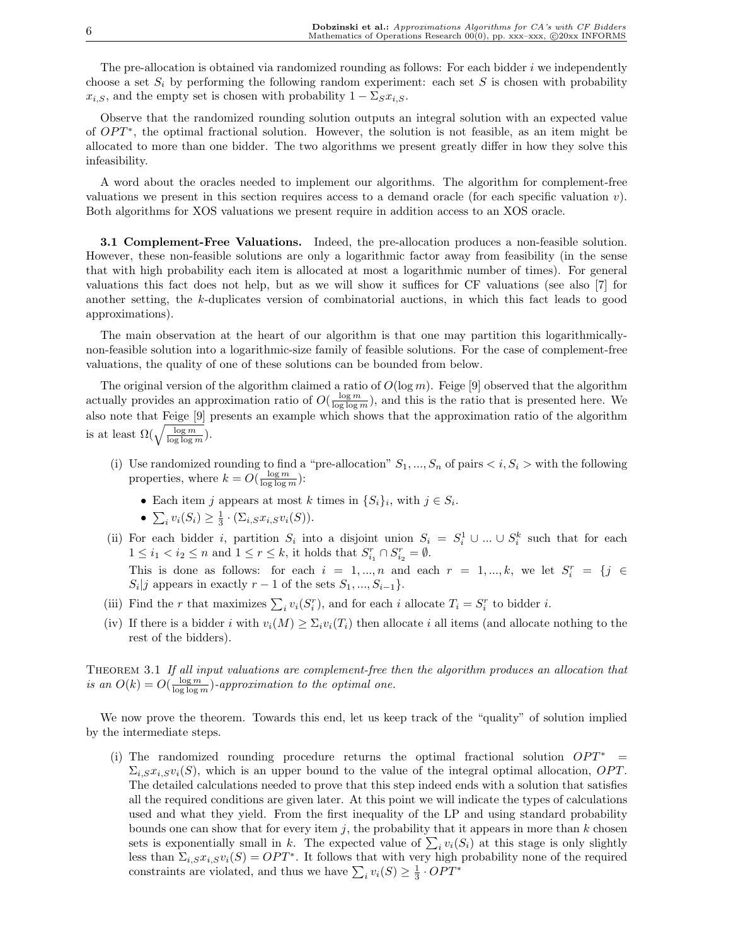The pre-allocation is obtained via randomized rounding as follows: For each bidder  $i$  we independently choose a set  $S_i$  by performing the following random experiment: each set S is chosen with probability  $x_{i,S}$ , and the empty set is chosen with probability  $1 - \sum_{S} x_{i,S}$ .

Observe that the randomized rounding solution outputs an integral solution with an expected value of  $OPT^*$ , the optimal fractional solution. However, the solution is not feasible, as an item might be allocated to more than one bidder. The two algorithms we present greatly differ in how they solve this infeasibility.

A word about the oracles needed to implement our algorithms. The algorithm for complement-free valuations we present in this section requires access to a demand oracle (for each specific valuation  $v$ ). Both algorithms for XOS valuations we present require in addition access to an XOS oracle.

3.1 Complement-Free Valuations. Indeed, the pre-allocation produces a non-feasible solution. However, these non-feasible solutions are only a logarithmic factor away from feasibility (in the sense that with high probability each item is allocated at most a logarithmic number of times). For general valuations this fact does not help, but as we will show it suffices for CF valuations (see also [7] for another setting, the k-duplicates version of combinatorial auctions, in which this fact leads to good approximations).

The main observation at the heart of our algorithm is that one may partition this logarithmicallynon-feasible solution into a logarithmic-size family of feasible solutions. For the case of complement-free valuations, the quality of one of these solutions can be bounded from below.

The original version of the algorithm claimed a ratio of  $O(\log m)$ . Feige [9] observed that the algorithm actually provides an approximation ratio of  $O(\frac{\log m}{\log \log m})$ , and this is the ratio that is presented here. We also note that Feige [9] presents an example which shows that the approximation ratio of the algorithm also note that  $\text{reige } [\mathcal{Y}]$  is at least  $\Omega(\sqrt{\frac{\log m}{\log \log m}})$ .

- (i) Use randomized rounding to find a "pre-allocation"  $S_1, ..., S_n$  of pairs  $\langle i, S_i \rangle$  with the following properties, where  $k = O(\frac{\log m}{\log \log m})$ :
	- Each item j appears at most k times in  $\{S_i\}_i$ , with  $j \in S_i$ .
	- E¤<br>• ∑  $i v_i(S_i) \geq \frac{1}{3} \cdot (\Sigma_{i,S} x_{i,S} v_i(S)).$
- (ii) For each bidder i, partition  $S_i$  into a disjoint union  $S_i = S_i^1 \cup ... \cup S_i^k$  such that for each  $1 \leq i_1 < i_2 \leq n$  and  $1 \leq r \leq k$ , it holds that  $S_{i_1}^r \cap S_{i_2}^r = \emptyset$ . This is done as follows: for each  $i = 1, ..., n$  and each  $r = 1, ..., k$ , we let  $S_i^r = \{j \in$  $S_i|j$  appears in exactly  $r-1$  of the sets  $S_1, ..., S_{i-1}$ .
- (iii) Find the r that maximizes  $\sum_i v_i(S_i^r)$ , and for each i allocate  $T_i = S_i^r$  to bidder i.
- (iv) If there is a bidder i with  $v_i(M) \ge \sum_i v_i(T_i)$  then allocate i all items (and allocate nothing to the rest of the bidders).

THEOREM 3.1 If all input valuations are complement-free then the algorithm produces an allocation that is an  $O(k) = O(\frac{\log m}{\log \log m})$ -approximation to the optimal one.

We now prove the theorem. Towards this end, let us keep track of the "quality" of solution implied by the intermediate steps.

(i) The randomized rounding procedure returns the optimal fractional solution  $OPT^*$  $\Sigma_{i,S}x_{i,S}v_{i}(S)$ , which is an upper bound to the value of the integral optimal allocation, OPT. The detailed calculations needed to prove that this step indeed ends with a solution that satisfies all the required conditions are given later. At this point we will indicate the types of calculations used and what they yield. From the first inequality of the LP and using standard probability bounds one can show that for every item j, the probability that it appears in more than  $k$  chosen bounds one can show that for every item *y*, the probability that it appears in more than  $\kappa$  chosen sets is exponentially small in  $k$ . The expected value of  $\sum_i v_i(S_i)$  at this stage is only slightly less than  $\Sigma_{i,S} x_{i,S} v_i(S) = OPT^*$ . It follows that with very high probability none of the required ress than  $\sum_i S_i x_i S_i(s) = \mathbf{C} \mathbf{P} \mathbf{I}$ . It follows that with very fight constraints are violated, and thus we have  $\sum_i v_i(S) \geq \frac{1}{3} \cdot \mathbf{O} \mathbf{P} \mathbf{T}^*$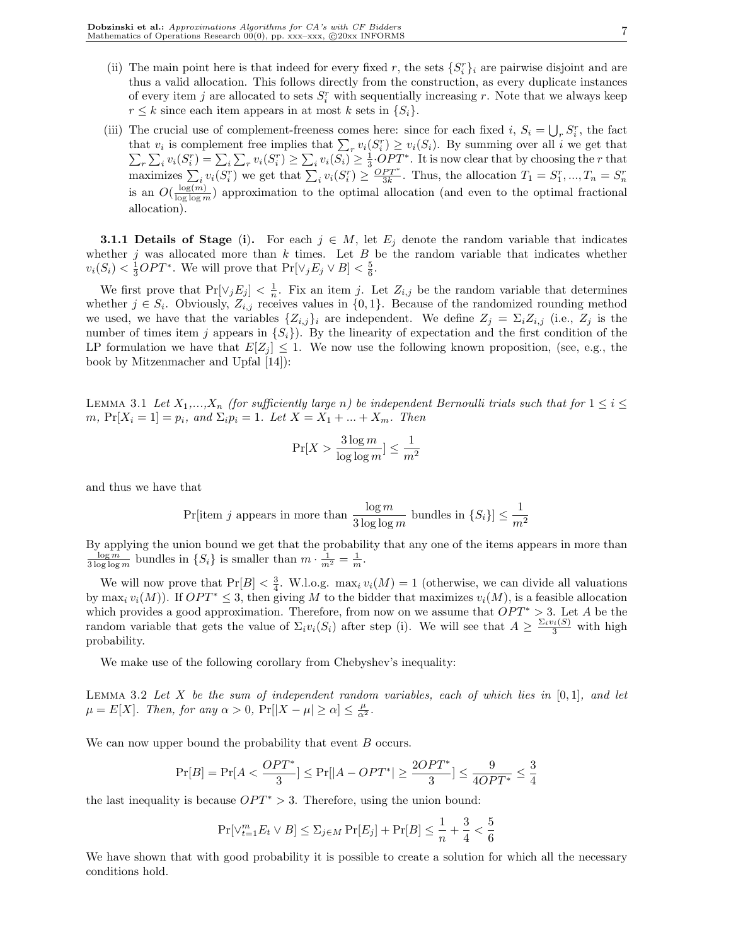- (ii) The main point here is that indeed for every fixed r, the sets  $\{S_i^r\}_i$  are pairwise disjoint and are thus a valid allocation. This follows directly from the construction, as every duplicate instances of every item j are allocated to sets  $S_i^r$  with sequentially increasing r. Note that we always keep  $r \leq k$  since each item appears in at most k sets in  $\{S_i\}$ .
- (iii) The crucial use of complement-freeness comes here: since for each fixed i,  $S_i = \bigcup_r S_i^r$ , the fact The crucial use of complement-freeness comes here: since for each fixed  $i$ ,  $s_i = \bigcup_r s_i$ , the fact that  $v_i$  is complement free implies that  $\sum_r v_i(S_i^r) \geq v_i(S_i)$ . By summing over all i we get that at  $v_i$  is complement free implies that  $\sum_r v_i(s_i) \geq v_i(s_i)$ . By summing over an  $i$  we get that  $r \sum_i v_i(S_i^r) = \sum_i \sum_r v_i(S_i^r) \geq \sum_i v_i(S_i) \geq \frac{1}{3} \cdot OPT^*$ . It is now clear that by choosing the r that  $\sum_{i} \sum_{i} v_i(S_i^r) = \sum_{i} \sum_{r} v_i(S_i^r) \ge \sum_{i} \sum_{i} v_i(S_i^r) \ge \frac{OPT^*}{3k}$ . Thus, the allocation  $T_1 = S_1^r, ..., T_n = S_n^r$ is an  $O(\frac{\log(m)}{\log\log m})$  approximation to the optimal allocation (and even to the optimal fractional allocation).

**3.1.1 Details of Stage (i).** For each  $j \in M$ , let  $E_j$  denote the random variable that indicates whether j was allocated more than  $k$  times. Let  $B$  be the random variable that indicates whether  $v_i(S_i) < \frac{1}{3}OPT^*$ . We will prove that  $Pr[\vee_j E_j \vee B] < \frac{5}{6}$ .

We first prove that  $Pr[\vee_j E_j] < \frac{1}{n}$ . Fix an item j. Let  $Z_{i,j}$  be the random variable that determines whether  $j \in S_i$ . Obviously,  $Z_{i,j}$  receives values in  $\{0,1\}$ . Because of the randomized rounding method we used, we have that the variables  $\{Z_{i,j}\}_i$  are independent. We define  $Z_j = \sum_i Z_{i,j}$  (i.e.,  $Z_j$  is the number of times item j appears in  $\{S_i\}$ . By the linearity of expectation and the first condition of the LP formulation we have that  $E[Z_i] \leq 1$ . We now use the following known proposition, (see, e.g., the book by Mitzenmacher and Upfal [14]):

LEMMA 3.1 Let  $X_1,...,X_n$  (for sufficiently large n) be independent Bernoulli trials such that for  $1 \leq i \leq$ m,  $Pr[X_i = 1] = p_i$ , and  $\Sigma_i p_i = 1$ . Let  $X = X_1 + ... + X_m$ . Then

$$
\Pr[X > \frac{3\log m}{\log\log m}] \leq \frac{1}{m^2}
$$

and thus we have that

Pr[tem j appears in more than 
$$
\frac{\log m}{3 \log \log m}
$$
 bundles in  $\{S_i\} \le \frac{1}{m^2}$ 

By applying the union bound we get that the probability that any one of the items appears in more than  $\frac{\log m}{3 \log \log m}$  bundles in  $\{S_i\}$  is smaller than  $m \cdot \frac{1}{m^2} = \frac{1}{m}$ .

We will now prove that  $Pr[B] < \frac{3}{4}$ . W.l.o.g. max<sub>i</sub>  $v_i(M) = 1$  (otherwise, we can divide all valuations by max<sub>i</sub>  $v_i(M)$ ). If  $OPT^* \leq 3$ , then giving M to the bidder that maximizes  $v_i(M)$ , is a feasible allocation which provides a good approximation. Therefore, from now on we assume that  $OPT^* > 3$ . Let A be the random variable that gets the value of  $\Sigma_i v_i(S_i)$  after step (i). We will see that  $A \geq \frac{\Sigma_i v_i(S)}{3}$  with high probability.

We make use of the following corollary from Chebyshev's inequality:

LEMMA 3.2 Let X be the sum of independent random variables, each of which lies in  $[0,1]$ , and let  $\mu = E[X]$ . Then, for any  $\alpha > 0$ ,  $\Pr[|X - \mu| \ge \alpha] \le \frac{\mu}{\alpha^2}$ .

We can now upper bound the probability that event B occurs.

$$
\Pr[B] = \Pr[A < \frac{OPT^*}{3}] \le \Pr[|A - OPT^*| \ge \frac{2OPT^*}{3}] \le \frac{9}{4OPT^*} \le \frac{3}{4}
$$

the last inequality is because  $OPT^* > 3$ . Therefore, using the union bound:

$$
\Pr[\vee_{t=1}^{m} E_t \vee B] \le \Sigma_{j \in M} \Pr[E_j] + \Pr[B] \le \frac{1}{n} + \frac{3}{4} < \frac{5}{6}
$$

We have shown that with good probability it is possible to create a solution for which all the necessary conditions hold.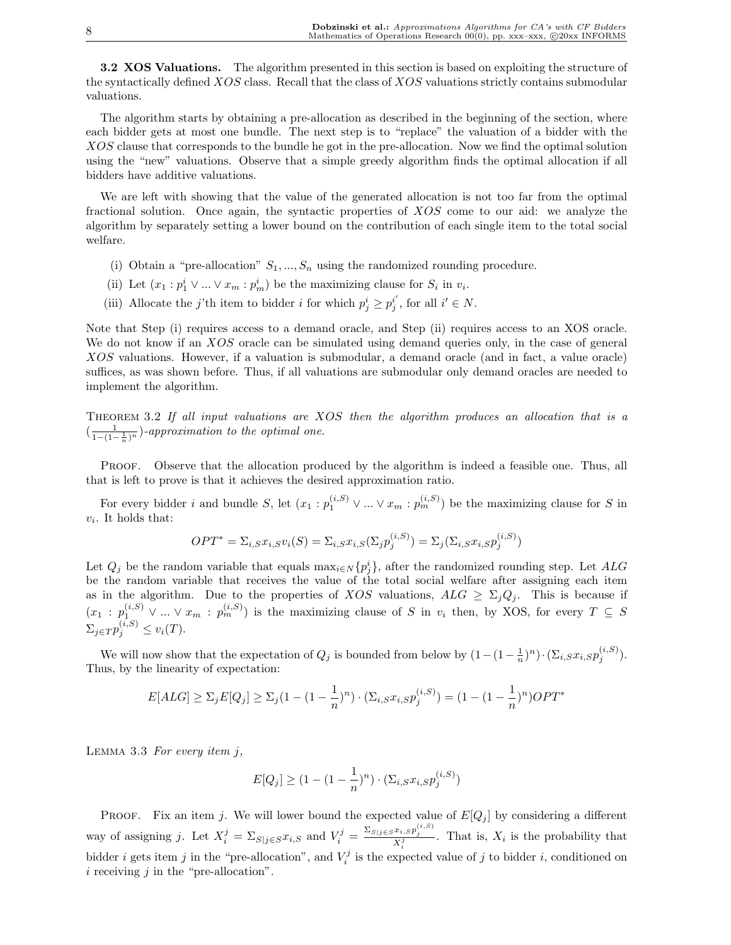**3.2 XOS Valuations.** The algorithm presented in this section is based on exploiting the structure of the syntactically defined XOS class. Recall that the class of XOS valuations strictly contains submodular valuations.

The algorithm starts by obtaining a pre-allocation as described in the beginning of the section, where each bidder gets at most one bundle. The next step is to "replace" the valuation of a bidder with the XOS clause that corresponds to the bundle he got in the pre-allocation. Now we find the optimal solution using the "new" valuations. Observe that a simple greedy algorithm finds the optimal allocation if all bidders have additive valuations.

We are left with showing that the value of the generated allocation is not too far from the optimal fractional solution. Once again, the syntactic properties of XOS come to our aid: we analyze the algorithm by separately setting a lower bound on the contribution of each single item to the total social welfare.

- (i) Obtain a "pre-allocation"  $S_1, ..., S_n$  using the randomized rounding procedure.
- (ii) Let  $(x_1 : p_1^i \vee ... \vee x_m : p_m^i)$  be the maximizing clause for  $S_i$  in  $v_i$ .
- (iii) Allocate the j'th item to bidder i for which  $p_j^i \geq p_j^{i'}$ , for all  $i' \in N$ .

Note that Step (i) requires access to a demand oracle, and Step (ii) requires access to an XOS oracle. We do not know if an XOS oracle can be simulated using demand queries only, in the case of general XOS valuations. However, if a valuation is submodular, a demand oracle (and in fact, a value oracle) suffices, as was shown before. Thus, if all valuations are submodular only demand oracles are needed to implement the algorithm.

Theorem 3.2 If all input valuations are XOS then the algorithm produces an allocation that is a  $\left(\frac{1}{1-(1-\frac{1}{n})^n}\right)$ -approximation to the optimal one.

PROOF. Observe that the allocation produced by the algorithm is indeed a feasible one. Thus, all that is left to prove is that it achieves the desired approximation ratio.

For every bidder i and bundle S, let  $(x_1 : p_1^{(i,s)} \vee ... \vee x_m : p_m^{(i,s)})$  be the maximizing clause for S in  $v_i$ . It holds that:

$$
OPT^* = \sum_{i,S} x_{i,S} v_i(S) = \sum_{i,S} x_{i,S} (\sum_j p_j^{(i,S)}) = \sum_j (\sum_{i,S} x_{i,S} p_j^{(i,S)})
$$

Let  $Q_j$  be the random variable that equals  $\max_{i \in N} \{p_j^i\}$ , after the randomized rounding step. Let  $ALG$ be the random variable that receives the value of the total social welfare after assigning each item as in the algorithm. Due to the properties of XOS valuations,  $ALG \geq \sum_j Q_j$ . This is because if  $(x_1 : p_1^{(i,S)} \vee ... \vee x_m : p_m^{(i,S)})$  is the maximizing clause of S in  $v_i$  then, by XOS, for every  $T \subseteq S$  $\Sigma_{j \in T} p_j^{(i,S)} \leq v_i(T).$ 

We will now show that the expectation of  $Q_j$  is bounded from below by  $(1 - (1 - \frac{1}{n})^n) \cdot (\sum_{i,S} x_{i,S} p_j^{(i,S)})$ . Thus, by the linearity of expectation:

$$
E[ALG] \ge \sum_j E[Q_j] \ge \sum_j (1 - (1 - \frac{1}{n})^n) \cdot (\sum_{i,S} x_{i,S} p_j^{(i,S)}) = (1 - (1 - \frac{1}{n})^n) OPT^*
$$

LEMMA 3.3 For every item  $j$ ,

$$
E[Q_j] \ge (1 - (1 - \frac{1}{n})^n) \cdot (\Sigma_{i,S} x_{i,S} p_j^{(i,S)})
$$

PROOF. Fix an item j. We will lower bound the expected value of  $E[Q_j]$  by considering a different way of assigning j. Let  $X_i^j = \sum_{S|j \in S} x_{i,S}$  and  $V_i^j = \frac{\sum_{S|j \in S} x_{i,S} p_j^{(i,S)}}{X_i^j}$ . That is,  $X_i$  is the probability that bidder *i* gets item *j* in the "pre-allocation", and  $V_i^j$  is the expected value of *j* to bidder *i*, conditioned on  $i$  receiving  $j$  in the "pre-allocation".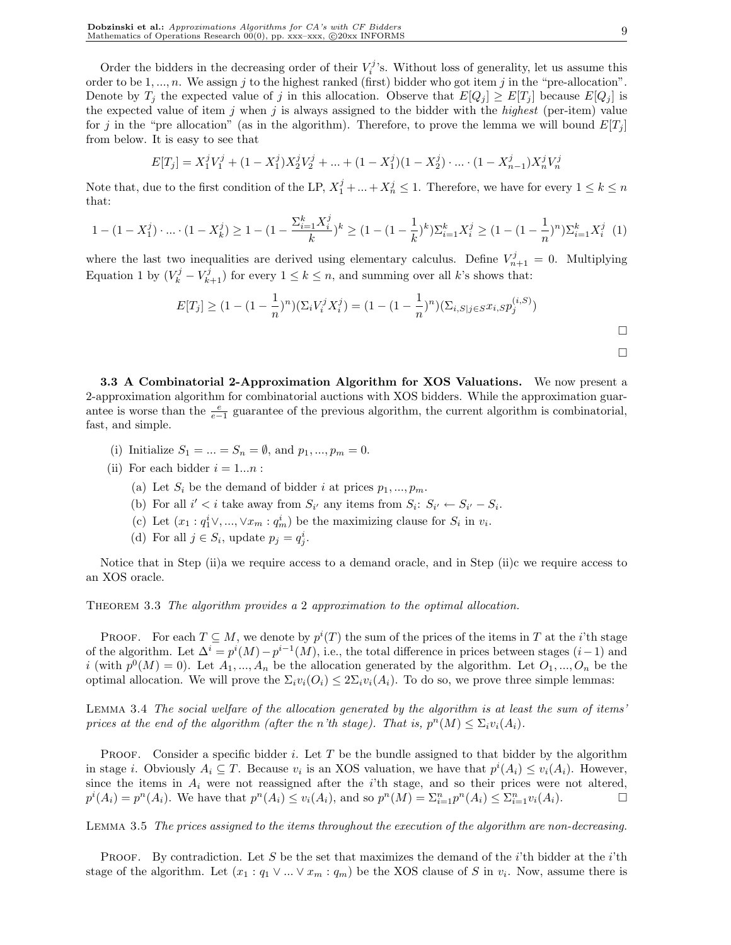Order the bidders in the decreasing order of their  $V_i^j$ 's. Without loss of generality, let us assume this order to be  $1, ..., n$ . We assign j to the highest ranked (first) bidder who got item j in the "pre-allocation". Denote by  $T_j$  the expected value of j in this allocation. Observe that  $E[Q_j] \geq E[T_j]$  because  $E[Q_j]$  is the expected value of item j when j is always assigned to the bidder with the *highest* (per-item) value for j in the "pre allocation" (as in the algorithm). Therefore, to prove the lemma we will bound  $E[T_i]$ from below. It is easy to see that

$$
E[T_j] = X_1^j V_1^j + (1 - X_1^j) X_2^j V_2^j + \dots + (1 - X_1^j)(1 - X_2^j) \cdot \dots \cdot (1 - X_{n-1}^j) X_n^j V_n^j
$$

Note that, due to the first condition of the LP,  $X_1^j + ... + X_n^j \leq 1$ . Therefore, we have for every  $1 \leq k \leq n$ that:

$$
1 - (1 - X_1^j) \cdot \ldots \cdot (1 - X_k^j) \ge 1 - (1 - \frac{\sum_{i=1}^k X_i^j}{k})^k \ge (1 - (1 - \frac{1}{k})^k) \sum_{i=1}^k X_i^j \ge (1 - (1 - \frac{1}{n})^n) \sum_{i=1}^k X_i^j
$$
 (1)

where the last two inequalities are derived using elementary calculus. Define  $V_{n+1}^j = 0$ . Multiplying Equation 1 by  $(V_k^j - V_{k+1}^j)$  for every  $1 \le k \le n$ , and summing over all k's shows that:

$$
E[T_j] \ge (1 - (1 - \frac{1}{n})^n)(\Sigma_i V_i^j X_i^j) = (1 - (1 - \frac{1}{n})^n)(\Sigma_{i,S|j \in S} x_{i,S} p_j^{(i,S)})
$$

3.3 A Combinatorial 2-Approximation Algorithm for XOS Valuations. We now present a 2-approximation algorithm for combinatorial auctions with XOS bidders. While the approximation guarantee is worse than the  $\frac{e}{e-1}$  guarantee of the previous algorithm, the current algorithm is combinatorial, fast, and simple.

- (i) Initialize  $S_1 = ... = S_n = \emptyset$ , and  $p_1, ..., p_m = 0$ .
- (ii) For each bidder  $i = 1...n$ :
	- (a) Let  $S_i$  be the demand of bidder i at prices  $p_1, ..., p_m$ .
	- (b) For all  $i' < i$  take away from  $S_{i'}$  any items from  $S_i: S_{i'} \leftarrow S_{i'} S_i$ .
	- (c) Let  $(x_1 : q_1^i \vee, ..., \vee x_m : q_m^i)$  be the maximizing clause for  $S_i$  in  $v_i$ .
	- (d) For all  $j \in S_i$ , update  $p_j = q_j^i$ .

Notice that in Step (ii)a we require access to a demand oracle, and in Step (ii)c we require access to an XOS oracle.

Theorem 3.3 The algorithm provides a 2 approximation to the optimal allocation.

PROOF. For each  $T \subseteq M$ , we denote by  $p^{i}(T)$  the sum of the prices of the items in T at the *i*'th stage of the algorithm. Let  $\Delta^i = p^i(M) - p^{i-1}(M)$ , i.e., the total difference in prices between stages  $(i-1)$  and i (with  $p^{0}(M) = 0$ ). Let  $A_1, ..., A_n$  be the allocation generated by the algorithm. Let  $O_1, ..., O_n$  be the optimal allocation. We will prove the  $\Sigma_i v_i(O_i) \leq 2\Sigma_i v_i(A_i)$ . To do so, we prove three simple lemmas:

Lemma 3.4 The social welfare of the allocation generated by the algorithm is at least the sum of items' prices at the end of the algorithm (after the n'th stage). That is,  $p^{n}(M) \leq \sum_i v_i(A_i)$ .

PROOF. Consider a specific bidder  $i$ . Let  $T$  be the bundle assigned to that bidder by the algorithm in stage *i*. Obviously  $A_i \subseteq T$ . Because  $v_i$  is an XOS valuation, we have that  $p^i(A_i) \leq v_i(A_i)$ . However, since the items in  $A_i$  were not reassigned after the *i*'th stage, and so their prices were not altered,  $p^{i}(A_i) = p^{n}(A_i)$ . We have that  $p^{n}(A_i) \le v_i(A_i)$ , and so  $p^{n}(M) = \sum_{i=1}^{n} p^{n}(A_i) \le \sum_{i=1}^{n} v_i(A_i)$ .

Lemma 3.5 The prices assigned to the items throughout the execution of the algorithm are non-decreasing.

**PROOF.** By contradiction. Let S be the set that maximizes the demand of the i'th bidder at the i'th stage of the algorithm. Let  $(x_1 : q_1 \vee ... \vee x_m : q_m)$  be the XOS clause of S in  $v_i$ . Now, assume there is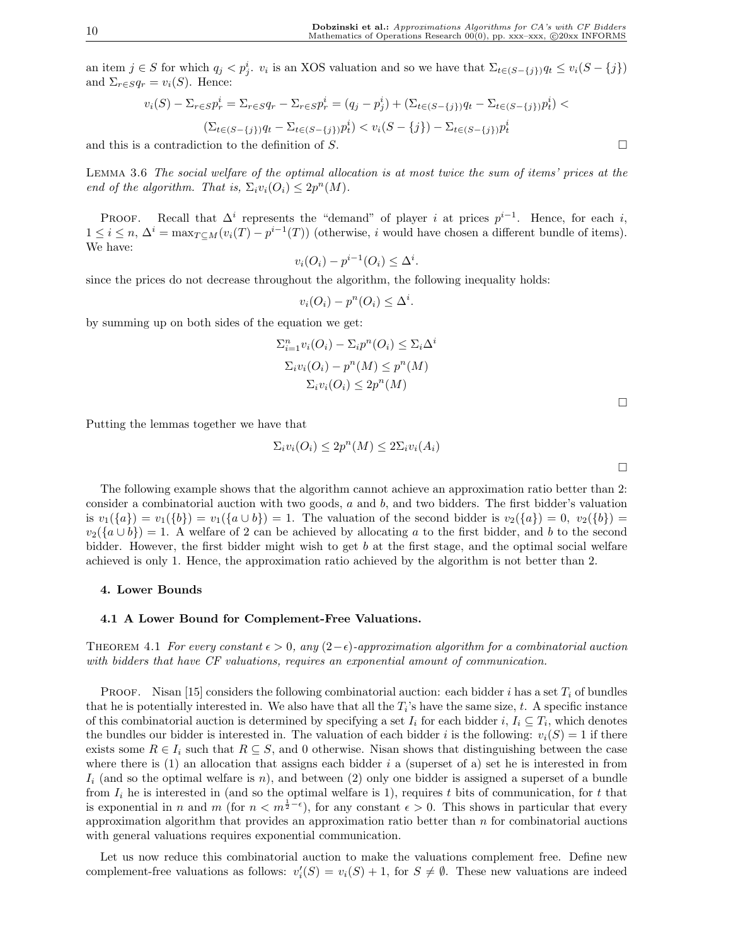an item  $j \in S$  for which  $q_j < p_j^i$ ,  $v_i$  is an XOS valuation and so we have that  $\Sigma_{t \in (S-\{j\})} q_t \leq v_i(S-\{j\})$ and  $\Sigma_{r \in S} q_r = v_i(S)$ . Hence:

$$
v_i(S) - \sum_{r \in S} p_r^i = \sum_{r \in S} q_r - \sum_{r \in S} p_r^i = (q_j - p_j^i) + (\sum_{t \in (S - \{j\})} q_t - \sum_{t \in (S - \{j\})} p_t^i) <
$$
  

$$
(\sum_{t \in (S - \{j\})} q_t - \sum_{t \in (S - \{j\})} p_t^i) < v_i(S - \{j\}) - \sum_{t \in (S - \{j\})} p_t^i
$$

and this is a contradiction to the definition of S.  $\Box$ 

Lemma 3.6 The social welfare of the optimal allocation is at most twice the sum of items' prices at the end of the algorithm. That is,  $\Sigma_i v_i(O_i) \leq 2p^n(M)$ .

PROOF. Recall that  $\Delta^i$  represents the "demand" of player i at prices  $p^{i-1}$ . Hence, for each i,  $1 \leq i \leq n$ ,  $\Delta^{i} = \max_{T \subseteq M} (v_i(T) - p^{i-1}(T))$  (otherwise, i would have chosen a different bundle of items). We have:

$$
v_i(O_i) - p^{i-1}(O_i) \le \Delta^i.
$$

since the prices do not decrease throughout the algorithm, the following inequality holds:

$$
v_i(O_i) - p^n(O_i) \leq \Delta^i.
$$

by summing up on both sides of the equation we get:

$$
\sum_{i=1}^{n} v_i(O_i) - \sum_i p^n(O_i) \le \sum_i \Delta^i
$$
  

$$
\sum_i v_i(O_i) - p^n(M) \le p^n(M)
$$
  

$$
\sum_i v_i(O_i) \le 2p^n(M)
$$

Putting the lemmas together we have that

$$
\Sigma_i v_i(O_i) \le 2p^n(M) \le 2\Sigma_i v_i(A_i)
$$

The following example shows that the algorithm cannot achieve an approximation ratio better than 2: consider a combinatorial auction with two goods,  $a$  and  $b$ , and two bidders. The first bidder's valuation is  $v_1({a}) = v_1({b}) = v_1({a \cup b}) = 1$ . The valuation of the second bidder is  $v_2({a}) = 0$ ,  $v_2({b}) = 1$ .  $v_2({a \cup b}) = 1$ . A welfare of 2 can be achieved by allocating a to the first bidder, and b to the second bidder. However, the first bidder might wish to get b at the first stage, and the optimal social welfare achieved is only 1. Hence, the approximation ratio achieved by the algorithm is not better than 2.

## 4. Lower Bounds

## 4.1 A Lower Bound for Complement-Free Valuations.

THEOREM 4.1 For every constant  $\epsilon > 0$ , any  $(2-\epsilon)$ -approximation algorithm for a combinatorial auction with bidders that have CF valuations, requires an exponential amount of communication.

**PROOF.** Nisan [15] considers the following combinatorial auction: each bidder i has a set  $T_i$  of bundles that he is potentially interested in. We also have that all the  $T_i$ 's have the same size, t. A specific instance of this combinatorial auction is determined by specifying a set  $I_i$  for each bidder  $i, I_i \subseteq T_i$ , which denotes the bundles our bidder is interested in. The valuation of each bidder i is the following:  $v_i(S) = 1$  if there exists some  $R \in I_i$  such that  $R \subseteq S$ , and 0 otherwise. Nisan shows that distinguishing between the case where there is  $(1)$  an allocation that assigns each bidder i a (superset of a) set he is interested in from  $I_i$  (and so the optimal welfare is n), and between (2) only one bidder is assigned a superset of a bundle from  $I_i$  he is interested in (and so the optimal welfare is 1), requires t bits of communication, for t that is exponential in n and m (for  $n < m^{\frac{1}{2}-\epsilon}$ ), for any constant  $\epsilon > 0$ . This shows in particular that every approximation algorithm that provides an approximation ratio better than  $n$  for combinatorial auctions with general valuations requires exponential communication.

Let us now reduce this combinatorial auction to make the valuations complement free. Define new complement-free valuations as follows:  $v_i'(S) = v_i(S) + 1$ , for  $S \neq \emptyset$ . These new valuations are indeed

 $\Box$ 

¤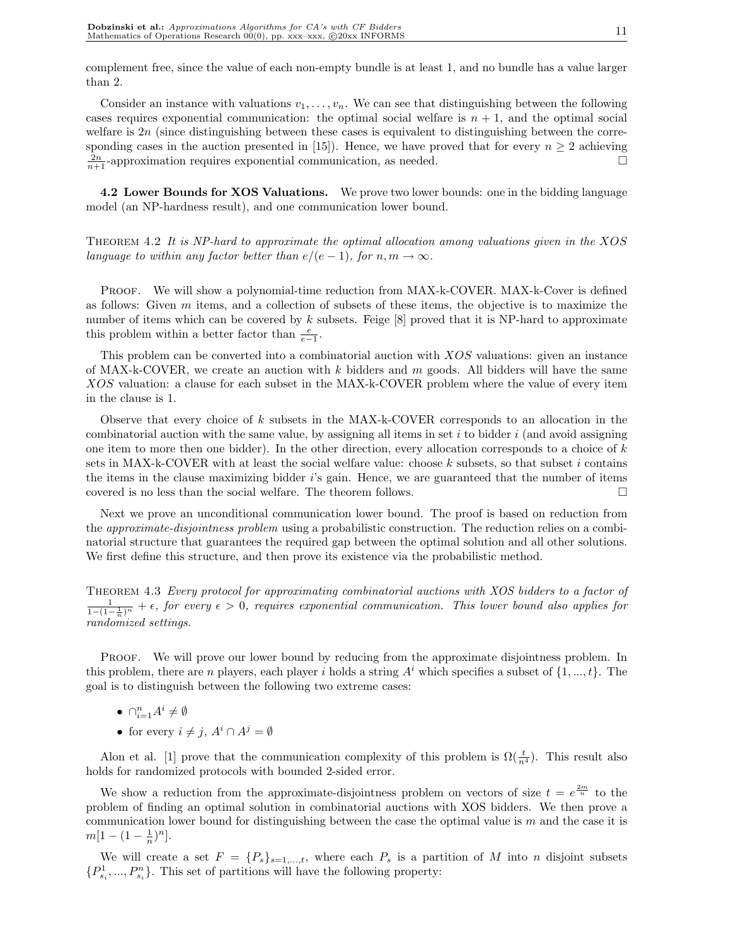complement free, since the value of each non-empty bundle is at least 1, and no bundle has a value larger than 2.

Consider an instance with valuations  $v_1, \ldots, v_n$ . We can see that distinguishing between the following cases requires exponential communication: the optimal social welfare is  $n + 1$ , and the optimal social welfare is  $2n$  (since distinguishing between these cases is equivalent to distinguishing between the corresponding cases in the auction presented in [15]). Hence, we have proved that for every  $n \geq 2$  achieving  $\frac{2n}{n+1}$ -approximation requires exponential communication, as needed.  $\square$ 

4.2 Lower Bounds for XOS Valuations. We prove two lower bounds: one in the bidding language model (an NP-hardness result), and one communication lower bound.

Theorem 4.2 It is NP-hard to approximate the optimal allocation among valuations given in the XOS language to within any factor better than  $e/(e-1)$ , for  $n, m \to \infty$ .

PROOF. We will show a polynomial-time reduction from MAX-k-COVER. MAX-k-Cover is defined as follows: Given  $m$  items, and a collection of subsets of these items, the objective is to maximize the number of items which can be covered by  $k$  subsets. Feige  $[8]$  proved that it is NP-hard to approximate this problem within a better factor than  $\frac{e}{e-1}$ .

This problem can be converted into a combinatorial auction with XOS valuations: given an instance of MAX-k-COVER, we create an auction with  $k$  bidders and  $m$  goods. All bidders will have the same XOS valuation: a clause for each subset in the MAX-k-COVER problem where the value of every item in the clause is 1.

Observe that every choice of  $k$  subsets in the MAX-k-COVER corresponds to an allocation in the combinatorial auction with the same value, by assigning all items in set  $i$  to bidder  $i$  (and avoid assigning one item to more then one bidder). In the other direction, every allocation corresponds to a choice of k sets in MAX-k-COVER with at least the social welfare value: choose  $k$  subsets, so that subset i contains the items in the clause maximizing bidder i's gain. Hence, we are guaranteed that the number of items covered is no less than the social welfare. The theorem follows.  $\Box$ 

Next we prove an unconditional communication lower bound. The proof is based on reduction from the *approximate-disjointness problem* using a probabilistic construction. The reduction relies on a combinatorial structure that guarantees the required gap between the optimal solution and all other solutions. We first define this structure, and then prove its existence via the probabilistic method.

Theorem 4.3 Every protocol for approximating combinatorial auctions with XOS bidders to a factor of  $\frac{1}{1-(1-\frac{1}{n})^n} + \epsilon$ , for every  $\epsilon > 0$ , requires exponential communication. This lower bound also applies for randomized settings.

PROOF. We will prove our lower bound by reducing from the approximate disjointness problem. In this problem, there are n players, each player i holds a string  $A^i$  which specifies a subset of  $\{1, ..., t\}$ . The goal is to distinguish between the following two extreme cases:

- $\bullet \ \cap_{i=1}^n A^i \neq \emptyset$
- for every  $i \neq j$ ,  $A^i \cap A^j = \emptyset$

Alon et al. [1] prove that the communication complexity of this problem is  $\Omega(\frac{t}{n^4})$ . This result also holds for randomized protocols with bounded 2-sided error.

We show a reduction from the approximate-disjointness problem on vectors of size  $t = e^{\frac{2m}{n}}$  to the problem of finding an optimal solution in combinatorial auctions with XOS bidders. We then prove a communication lower bound for distinguishing between the case the optimal value is  $m$  and the case it is  $m[1-(1-\frac{1}{n})^n].$ 

We will create a set  $F = \{P_s\}_{s=1,\dots,t}$ , where each  $P_s$  is a partition of M into n disjoint subsets  ${P}_{s_i}^1, ..., P_{s_i}^n$ . This set of partitions will have the following property: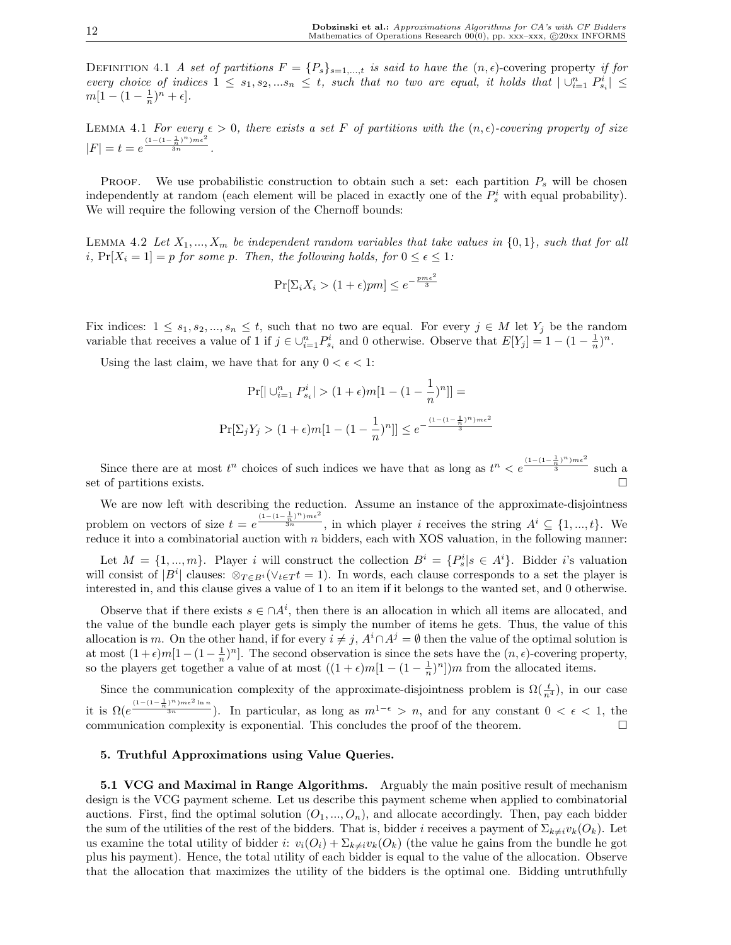DEFINITION 4.1 A set of partitions  $F = \{P_s\}_{s=1,\dots,t}$  is said to have the  $(n, \epsilon)$ -covering property if for every choice of indices  $1 \leq s_1, s_2, ... s_n \leq t$ , such that no two are equal, it holds that  $| \bigcup_{i=1}^n P_{s_i}^i | \leq$  $m[1-(1-\frac{1}{n})^n + \epsilon].$ 

LEMMA 4.1 For every  $\epsilon > 0$ , there exists a set F of partitions with the  $(n, \epsilon)$ -covering property of size  $|F| = t = e^{\frac{(1-(1-\frac{1}{n})^n)m\epsilon^2}{3n}}.$ 

**PROOF.** We use probabilistic construction to obtain such a set: each partition  $P<sub>s</sub>$  will be chosen independently at random (each element will be placed in exactly one of the  $P_s^i$  with equal probability). We will require the following version of the Chernoff bounds:

LEMMA 4.2 Let  $X_1, ..., X_m$  be independent random variables that take values in  $\{0, 1\}$ , such that for all i,  $Pr[X_i = 1] = p$  for some p. Then, the following holds, for  $0 \le \epsilon \le 1$ :

$$
\Pr[\Sigma_i X_i > (1 + \epsilon) p m] \le e^{-\frac{p m \epsilon^2}{3}}
$$

Fix indices:  $1 \leq s_1, s_2, ..., s_n \leq t$ , such that no two are equal. For every  $j \in M$  let  $Y_j$  be the random variable that receives a value of 1 if  $j \in \bigcup_{i=1}^n P_{s_i}^i$  and 0 otherwise. Observe that  $E[Y_j] = 1 - (1 - \frac{1}{n})^n$ .

Using the last claim, we have that for any  $0 < \epsilon < 1$ :

$$
\Pr[|\bigcup_{i=1}^{n} P_{s_i}^i| > (1+\epsilon)m[1-(1-\frac{1}{n})^n]] =
$$
\n
$$
\Pr[\Sigma_j Y_j > (1+\epsilon)m[1-(1-\frac{1}{n})^n]] \leq e^{-\frac{(1-(1-\frac{1}{n})^n)m\epsilon^2}{3}}
$$

Since there are at most  $t^n$  choices of such indices we have that as long as  $t^n < e^{\frac{(1-(1-\frac{1}{n})^n)m\epsilon^2}{3}}$  such a set of partitions exists.  $\Box$ 

We are now left with describing the reduction. Assume an instance of the approximate-disjointness problem on vectors of size  $t = e^{\frac{(1-(1-\frac{1}{n})^n)m\epsilon^2}{3n}}$ , in which player *i* receives the string  $A^i \subseteq \{1, ..., t\}$ . We reduce it into a combinatorial auction with  $n$  bidders, each with XOS valuation, in the following manner:

Let  $M = \{1, ..., m\}$ . Player i will construct the collection  $B^i = \{P_s^i | s \in A^i\}$ . Bidder i's valuation will consist of  $|B^i|$  clauses:  $\otimes_{T \in B^i} (\vee_{t \in T} t = 1)$ . In words, each clause corresponds to a set the player is interested in, and this clause gives a value of 1 to an item if it belongs to the wanted set, and 0 otherwise.

Observe that if there exists  $s \in \bigcap A^i$ , then there is an allocation in which all items are allocated, and the value of the bundle each player gets is simply the number of items he gets. Thus, the value of this allocation is m. On the other hand, if for every  $i \neq j$ ,  $A^i \cap A^j = \emptyset$  then the value of the optimal solution is at most  $(1+\epsilon)m[1-(1-\frac{1}{n})^n]$ . The second observation is since the sets have the  $(n, \epsilon)$ -covering property, so the players get together a value of at most  $((1 + \epsilon)m[1 - (1 - \frac{1}{n})^n])m$  from the allocated items.

Since the communication complexity of the approximate-disjointness problem is  $\Omega(\frac{t}{n^4})$ , in our case it is  $\Omega(e^{\frac{(1-(1-\frac{1}{n})^n)m\epsilon^2\ln n}{3n}})$ . In particular, as long as  $m^{1-\epsilon} > n$ , and for any constant  $0 < \epsilon < 1$ , the communication complexity is exponential. This concludes the proof of the theorem.  $\Box$ 

#### 5. Truthful Approximations using Value Queries.

5.1 VCG and Maximal in Range Algorithms. Arguably the main positive result of mechanism design is the VCG payment scheme. Let us describe this payment scheme when applied to combinatorial auctions. First, find the optimal solution  $(O_1, ..., O_n)$ , and allocate accordingly. Then, pay each bidder the sum of the utilities of the rest of the bidders. That is, bidder i receives a payment of  $\Sigma_{k\neq i}v_k(O_k)$ . Let us examine the total utility of bidder i:  $v_i(O_i) + \sum_{k\neq i} v_k(O_k)$  (the value he gains from the bundle he got plus his payment). Hence, the total utility of each bidder is equal to the value of the allocation. Observe that the allocation that maximizes the utility of the bidders is the optimal one. Bidding untruthfully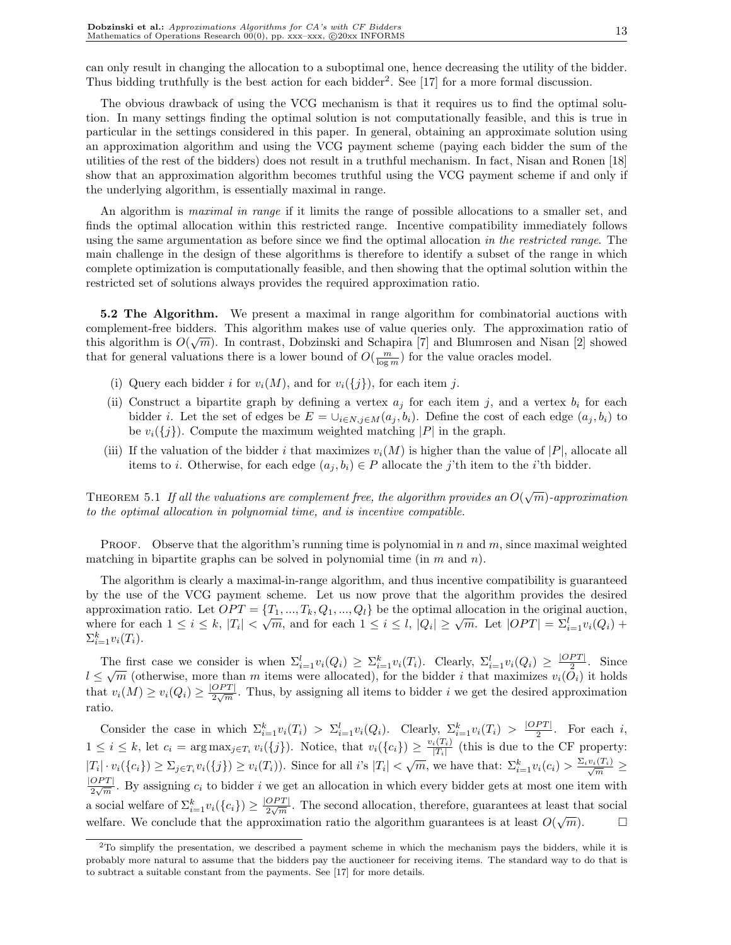can only result in changing the allocation to a suboptimal one, hence decreasing the utility of the bidder. Thus bidding truthfully is the best action for each bidder<sup>2</sup>. See [17] for a more formal discussion.

The obvious drawback of using the VCG mechanism is that it requires us to find the optimal solution. In many settings finding the optimal solution is not computationally feasible, and this is true in particular in the settings considered in this paper. In general, obtaining an approximate solution using an approximation algorithm and using the VCG payment scheme (paying each bidder the sum of the utilities of the rest of the bidders) does not result in a truthful mechanism. In fact, Nisan and Ronen [18] show that an approximation algorithm becomes truthful using the VCG payment scheme if and only if the underlying algorithm, is essentially maximal in range.

An algorithm is *maximal in range* if it limits the range of possible allocations to a smaller set, and finds the optimal allocation within this restricted range. Incentive compatibility immediately follows using the same argumentation as before since we find the optimal allocation in the restricted range. The main challenge in the design of these algorithms is therefore to identify a subset of the range in which complete optimization is computationally feasible, and then showing that the optimal solution within the restricted set of solutions always provides the required approximation ratio.

5.2 The Algorithm. We present a maximal in range algorithm for combinatorial auctions with complement-free bidders. This algorithm makes use of value queries only. The approximation ratio of  $\mathbb{R}^3$ . this algorithm is  $O(\sqrt{m})$ . In contrast, Dobzinski and Schapira [7] and Blumrosen and Nisan [2] showed that for general valuations there is a lower bound of  $O(\frac{m}{\log m})$  for the value oracles model.

- (i) Query each bidder i for  $v_i(M)$ , and for  $v_i({j})$ , for each item j.
- (ii) Construct a bipartite graph by defining a vertex  $a_j$  for each item j, and a vertex  $b_i$  for each bidder *i*. Let the set of edges be  $E = \bigcup_{i \in N, j \in M}(a_i, b_i)$ . Define the cost of each edge  $(a_i, b_i)$  to be  $v_i({j})$ . Compute the maximum weighted matching |P| in the graph.
- (iii) If the valuation of the bidder i that maximizes  $v_i(M)$  is higher than the value of  $|P|$ , allocate all items to i. Otherwise, for each edge  $(a_j, b_i) \in P$  allocate the j'th item to the i'th bidder.

THEOREM 5.1 If all the valuations are complement free, the algorithm provides an  $O(\sqrt{m})$ -approximation to the optimal allocation in polynomial time, and is incentive compatible.

**PROOF.** Observe that the algorithm's running time is polynomial in n and  $m$ , since maximal weighted matching in bipartite graphs can be solved in polynomial time (in  $m$  and  $n$ ).

The algorithm is clearly a maximal-in-range algorithm, and thus incentive compatibility is guaranteed by the use of the VCG payment scheme. Let us now prove that the algorithm provides the desired approximation ratio. Let  $OPT = \{T_1, ..., T_k, Q_1, ..., Q_l\}$  be the optimal allocation in the original auction, approximation ratio. Let  $\overline{OPI} = \{1_1, ..., 1_k, Q_1, ..., Q_l\}$  be the optimal anotation in the original auction,<br>where for each  $1 \leq i \leq k$ ,  $|T_i| < \sqrt{m}$ , and for each  $1 \leq i \leq l$ ,  $|Q_i| \geq \sqrt{m}$ . Let  $|OPT| = \sum_{i=1}^{l} v_i(Q_i)$  +  $\Sigma_{i=1}^k v_i(T_i)$ .

The first case we consider is when  $\Sigma_{i=1}^l v_i(Q_i) \geq \Sigma_{i=1}^k v_i(T_i)$ . Clearly,  $\Sigma_{i=1}^l v_i(Q_i) \geq \frac{|OPT|}{2}$  $rac{PT}{2}$ . Since The first case we consider is when  $\sum_{i=1}^{i} v_i(\mathcal{Q}_i) \leq \sum_{i=1}^{i} v_i(\mathcal{I}_i)$ . Clearly,  $\sum_{i=1}^{i} v_i(\mathcal{Q}_i) \leq \frac{1}{2}$ . Since  $l \leq \sqrt{m}$  (otherwise, more than m items were allocated), for the bidder i that maximizes that  $v_i(M) \ge v_i(Q_i) \ge \frac{|OPT|}{2\sqrt{m}}$  $\frac{OPT}{2\sqrt{m}}$ . Thus, by assigning all items to bidder i we get the desired approximation ratio.

Consider the case in which  $\Sigma_{i=1}^k v_i(T_i) > \Sigma_{i=1}^l v_i(Q_i)$ . Clearly,  $\Sigma_{i=1}^k v_i(T_i) > \frac{|OPT|}{2}$ . For each i, 2  $1 \leq i \leq k$ , let  $c_i = \arg \max_{j \in T_i} v_i(\{j\})$ . Notice, that  $v_i(\{c_i\}) \geq \frac{v_i(T_i)}{|T_i|}$  $\frac{i(T_i)}{|T_i|}$  (this is due to the CF property:  $|T_i| \cdot v_i({c_i}) \geq \sum_{j \in T_i} v_i({j}) \geq v_i(T_i)$ . Since for all i's  $|T_i| < \sqrt{m}$ , we have that:  $\sum_{i=1}^k v_i(c_i) > \frac{\sum_i v_i(T_i)}{\sqrt{m}} \geq$ √  $|OPT|$  $\frac{OPT}{2\sqrt{m}}$ . By assigning  $c_i$  to bidder i we get an allocation in which every bidder gets at most one item with a social welfare of  $\Sigma_{i=1}^k v_i(\lbrace c_i \rbrace) \geq \frac{|OPT|}{2\sqrt{m}}$  $\frac{OPT}{2\sqrt{m}}$ . The second allocation, therefore, guarantees at least that social welfare. We conclude that the approximation ratio the algorithm guarantees is at least  $O(\sqrt{m})$ .

<sup>&</sup>lt;sup>2</sup>To simplify the presentation, we described a payment scheme in which the mechanism pays the bidders, while it is probably more natural to assume that the bidders pay the auctioneer for receiving items. The standard way to do that is to subtract a suitable constant from the payments. See [17] for more details.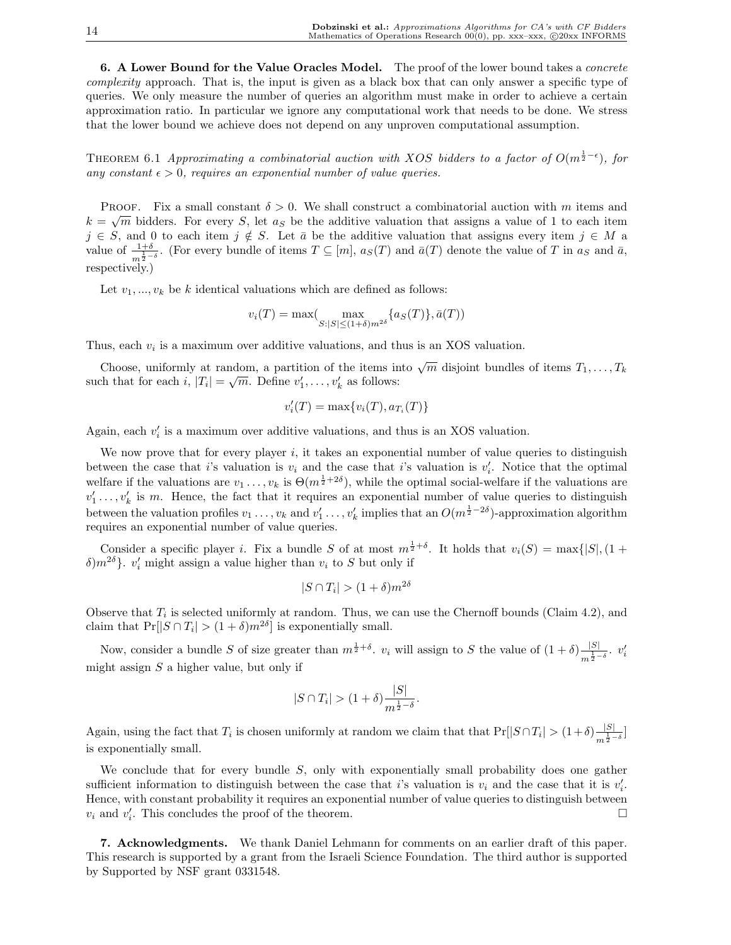6. A Lower Bound for the Value Oracles Model. The proof of the lower bound takes a *concrete* complexity approach. That is, the input is given as a black box that can only answer a specific type of queries. We only measure the number of queries an algorithm must make in order to achieve a certain approximation ratio. In particular we ignore any computational work that needs to be done. We stress that the lower bound we achieve does not depend on any unproven computational assumption.

THEOREM 6.1 Approximating a combinatorial auction with XOS bidders to a factor of  $O(m^{\frac{1}{2}-\epsilon})$ , for any constant  $\epsilon > 0$ , requires an exponential number of value queries.

PROOF. Fix a small constant  $\delta > 0$ . We shall construct a combinatorial auction with m items and  $k = \sqrt{m}$  bidders. For every S, let  $a<sub>S</sub>$  be the additive valuation that assigns a value of 1 to each item  $j \in S$ , and 0 to each item  $j \notin S$ . Let  $\bar{a}$  be the additive valuation that assigns every item  $j \in M$  a value of  $\frac{1+\delta}{m^{\frac{1}{2}-\delta}}$ . (For every bundle of items  $T \subseteq [m]$ ,  $a_S(T)$  and  $\bar{a}(T)$  denote the value of T in  $a_S$  and  $\bar{a}$ , respectively.)

Let  $v_1, ..., v_k$  be k identical valuations which are defined as follows:

$$
v_i(T) = \max(\max_{S:|S| \le (1+\delta)m^{2\delta}} \{a_S(T)\}, \bar{a}(T))
$$

Thus, each  $v_i$  is a maximum over additive valuations, and thus is an XOS valuation.

Choose, uniformly at random, a partition of the items into  $\sqrt{m}$  disjoint bundles of items  $T_1, \ldots, T_k$ such that for each  $i, |T_i| = \sqrt{m}$ . Define  $v'_1, \ldots, v'_k$  as follows:

$$
v_i'(T) = \max\{v_i(T), a_{T_i}(T)\}\
$$

Again, each  $v_i'$  is a maximum over additive valuations, and thus is an XOS valuation.

We now prove that for every player  $i$ , it takes an exponential number of value queries to distinguish between the case that i's valuation is  $v_i$  and the case that i's valuation is  $v'_i$ . Notice that the optimal welfare if the valuations are  $v_1 \ldots, v_k$  is  $\Theta(m^{\frac{1}{2}+2\delta})$ , while the optimal social-welfare if the valuations are  $v'_1 \ldots, v'_k$  is m. Hence, the fact that it requires an exponential number of value queries to distinguish between the valuation profiles  $v_1 \ldots, v_k$  and  $v'_1 \ldots, v'_k$  implies that an  $O(m^{\frac{1}{2}-2\delta})$ -approximation algorithm requires an exponential number of value queries.

Consider a specific player *i*. Fix a bundle S of at most  $m^{\frac{1}{2}+\delta}$ . It holds that  $v_i(S) = \max\{|S|, (1 +$  $\delta$ ) $m^{2\delta}$ }.  $v'_i$  might assign a value higher than  $v_i$  to S but only if

$$
|S \cap T_i| > (1+\delta)m^{2\delta}
$$

Observe that  $T_i$  is selected uniformly at random. Thus, we can use the Chernoff bounds (Claim 4.2), and claim that  $Pr[|S \cap T_i| > (1 + \delta)m^{2\delta}]$  is exponentially small.

Now, consider a bundle S of size greater than  $m^{\frac{1}{2}+\delta}$ .  $v_i$  will assign to S the value of  $(1+\delta)\frac{|S|}{1-\delta}$  $rac{|S|}{m^{\frac{1}{2}-\delta}}$ .  $v_i'$ might assign  $S$  a higher value, but only if

$$
|S \cap T_i| > (1+\delta) \frac{|S|}{m^{\frac{1}{2}-\delta}}.
$$

Again, using the fact that  $T_i$  is chosen uniformly at random we claim that that  $Pr[|S \cap T_i| > (1+\delta)\frac{|S|}{1-\delta}]$  $\frac{|S|}{m^{\frac{1}{2}-\delta}}$ is exponentially small.

We conclude that for every bundle  $S$ , only with exponentially small probability does one gather sufficient information to distinguish between the case that i's valuation is  $v_i$  and the case that it is  $v'_i$ . Hence, with constant probability it requires an exponential number of value queries to distinguish between  $v_i$  and  $v'_i$ . This concludes the proof of the theorem.

7. Acknowledgments. We thank Daniel Lehmann for comments on an earlier draft of this paper. This research is supported by a grant from the Israeli Science Foundation. The third author is supported by Supported by NSF grant 0331548.